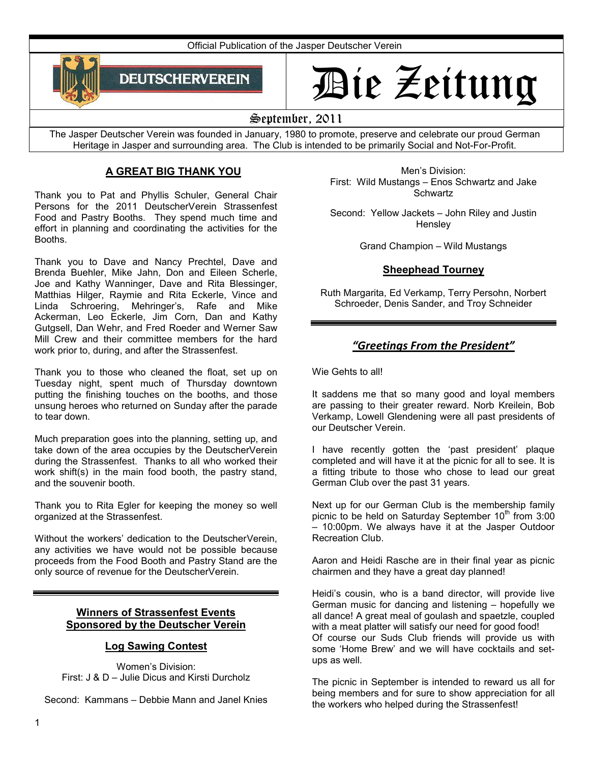Official Publication of the Jasper Deutscher Verein



# Die Zeitung

# September, 2011

The Jasper Deutscher Verein was founded in January, 1980 to promote, preserve and celebrate our proud German Heritage in Jasper and surrounding area. The Club is intended to be primarily Social and Not-For-Profit.

# **A GREAT BIG THANK YOU**

Thank you to Pat and Phyllis Schuler, General Chair Persons for the 2011 DeutscherVerein Strassenfest Food and Pastry Booths. They spend much time and effort in planning and coordinating the activities for the Booths.

Thank you to Dave and Nancy Prechtel, Dave and Brenda Buehler, Mike Jahn, Don and Eileen Scherle, Joe and Kathy Wanninger, Dave and Rita Blessinger, Matthias Hilger, Raymie and Rita Eckerle, Vince and Linda Schroering, Mehringer's, Rafe and Mike Ackerman, Leo Eckerle, Jim Corn, Dan and Kathy Gutgsell, Dan Wehr, and Fred Roeder and Werner Saw Mill Crew and their committee members for the hard work prior to, during, and after the Strassenfest.

Thank you to those who cleaned the float, set up on Tuesday night, spent much of Thursday downtown putting the finishing touches on the booths, and those unsung heroes who returned on Sunday after the parade to tear down.

Much preparation goes into the planning, setting up, and take down of the area occupies by the DeutscherVerein during the Strassenfest. Thanks to all who worked their work shift(s) in the main food booth, the pastry stand, and the souvenir booth.

Thank you to Rita Egler for keeping the money so well organized at the Strassenfest.

Without the workers' dedication to the DeutscherVerein, any activities we have would not be possible because proceeds from the Food Booth and Pastry Stand are the only source of revenue for the DeutscherVerein.

# **Winners of Strassenfest Events Sponsored by the Deutscher Verein**

# **Log Sawing Contest**

Women's Division: First: J & D – Julie Dicus and Kirsti Durcholz

Second: Kammans – Debbie Mann and Janel Knies

Men's Division: First: Wild Mustangs – Enos Schwartz and Jake **Schwartz** 

Second: Yellow Jackets – John Riley and Justin **Hensley** 

Grand Champion – Wild Mustangs

# **Sheephead Tourney**

Ruth Margarita, Ed Verkamp, Terry Persohn, Norbert Schroeder, Denis Sander, and Troy Schneider

# *"Greetings From the President"*

Wie Gehts to all!

It saddens me that so many good and loyal members are passing to their greater reward. Norb Kreilein, Bob Verkamp, Lowell Glendening were all past presidents of our Deutscher Verein.

I have recently gotten the 'past president' plaque completed and will have it at the picnic for all to see. It is a fitting tribute to those who chose to lead our great German Club over the past 31 years.

Next up for our German Club is the membership family picnic to be held on Saturday September  $10<sup>th</sup>$  from 3:00 – 10:00pm. We always have it at the Jasper Outdoor Recreation Club.

Aaron and Heidi Rasche are in their final year as picnic chairmen and they have a great day planned!

Heidi's cousin, who is a band director, will provide live German music for dancing and listening – hopefully we all dance! A great meal of goulash and spaetzle, coupled with a meat platter will satisfy our need for good food! Of course our Suds Club friends will provide us with some 'Home Brew' and we will have cocktails and setups as well.

The picnic in September is intended to reward us all for being members and for sure to show appreciation for all the workers who helped during the Strassenfest!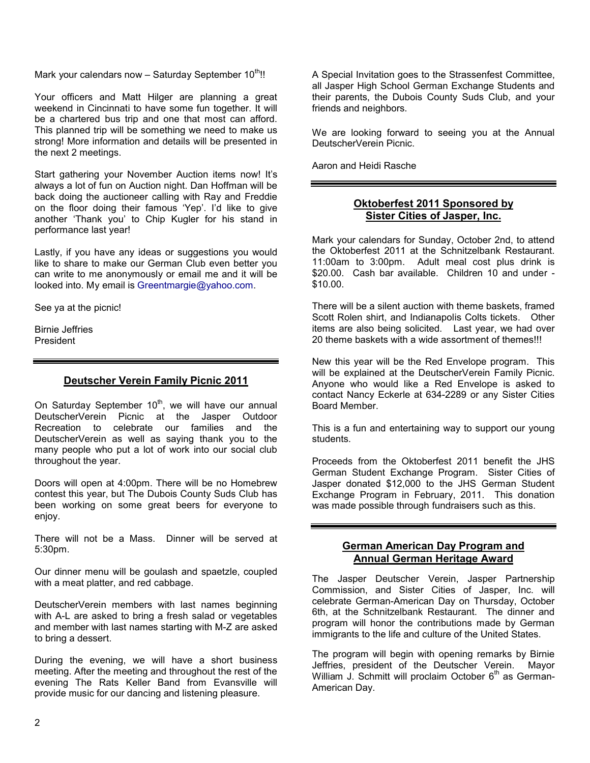Mark your calendars now  $-$  Saturday September 10<sup>th</sup>!!

Your officers and Matt Hilger are planning a great weekend in Cincinnati to have some fun together. It will be a chartered bus trip and one that most can afford. This planned trip will be something we need to make us strong! More information and details will be presented in the next 2 meetings.

Start gathering your November Auction items now! It's always a lot of fun on Auction night. Dan Hoffman will be back doing the auctioneer calling with Ray and Freddie on the floor doing their famous 'Yep'. I'd like to give another 'Thank you' to Chip Kugler for his stand in performance last year!

Lastly, if you have any ideas or suggestions you would like to share to make our German Club even better you can write to me anonymously or email me and it will be looked into. My email is Greentmargie@yahoo.com.

See ya at the picnic!

Birnie Jeffries President

# **Deutscher Verein Family Picnic 2011**

On Saturday September  $10^{th}$ , we will have our annual DeutscherVerein Picnic at the Jasper Outdoor Recreation to celebrate our families and the DeutscherVerein as well as saying thank you to the many people who put a lot of work into our social club throughout the year.

Doors will open at 4:00pm. There will be no Homebrew contest this year, but The Dubois County Suds Club has been working on some great beers for everyone to enjoy.

There will not be a Mass. Dinner will be served at 5:30pm.

Our dinner menu will be goulash and spaetzle, coupled with a meat platter, and red cabbage.

DeutscherVerein members with last names beginning with A-L are asked to bring a fresh salad or vegetables and member with last names starting with M-Z are asked to bring a dessert.

During the evening, we will have a short business meeting. After the meeting and throughout the rest of the evening The Rats Keller Band from Evansville will provide music for our dancing and listening pleasure.

A Special Invitation goes to the Strassenfest Committee, all Jasper High School German Exchange Students and their parents, the Dubois County Suds Club, and your friends and neighbors.

We are looking forward to seeing you at the Annual DeutscherVerein Picnic.

Aaron and Heidi Rasche

# **Oktoberfest 2011 Sponsored by Sister Cities of Jasper, Inc.**

Mark your calendars for Sunday, October 2nd, to attend the Oktoberfest 2011 at the Schnitzelbank Restaurant. 11:00am to 3:00pm. Adult meal cost plus drink is \$20.00. Cash bar available. Children 10 and under -\$10.00.

There will be a silent auction with theme baskets, framed Scott Rolen shirt, and Indianapolis Colts tickets. Other items are also being solicited. Last year, we had over 20 theme baskets with a wide assortment of themes!!!

New this year will be the Red Envelope program. This will be explained at the DeutscherVerein Family Picnic. Anyone who would like a Red Envelope is asked to contact Nancy Eckerle at 634-2289 or any Sister Cities Board Member.

This is a fun and entertaining way to support our young students.

Proceeds from the Oktoberfest 2011 benefit the JHS German Student Exchange Program. Sister Cities of Jasper donated \$12,000 to the JHS German Student Exchange Program in February, 2011. This donation was made possible through fundraisers such as this.

#### **German American Day Program and Annual German Heritage Award**

The Jasper Deutscher Verein, Jasper Partnership Commission, and Sister Cities of Jasper, Inc. will celebrate German-American Day on Thursday, October 6th, at the Schnitzelbank Restaurant. The dinner and program will honor the contributions made by German immigrants to the life and culture of the United States.

The program will begin with opening remarks by Birnie Jeffries, president of the Deutscher Verein. Mayor William J. Schmitt will proclaim October  $6<sup>th</sup>$  as German-American Day.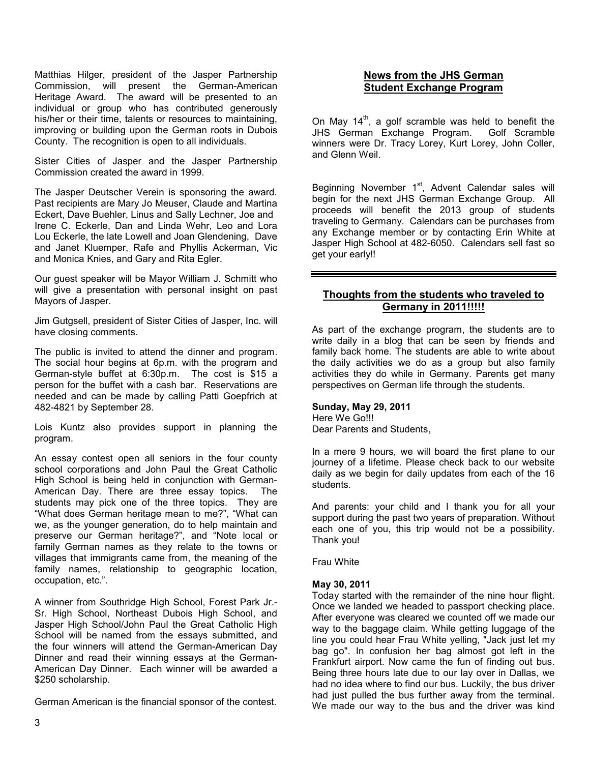Matthias Hilger, president of the Jasper Partnership Commission, will present the German-American Heritage Award. The award will be presented to an individual or group who has contributed generously his/her or their time, talents or resources to maintaining, improving or building upon the German roots in Dubois County. The recognition is open to all individuals.

Sister Cities of Jasper and the Jasper Partnership Commission created the award in 1999.

The Jasper Deutscher Verein is sponsoring the award. Past recipients are Mary Jo Meuser, Claude and Martina Eckert, Dave Buehler, Linus and Sally Lechner, Joe and Irene C. Eckerle, Dan and Linda Wehr, Leo and Lora Lou Eckerle, the late Lowell and Joan Glendening, Dave and Janet Kluemper, Rafe and Phyllis Ackerman, Vic and Monica Knies, and Gary and Rita Egler.

Our guest speaker will be Mayor William J. Schmitt who will give a presentation with personal insight on past Mayors of Jasper.

Jim Gutgsell, president of Sister Cities of Jasper, Inc. will have closing comments.

The public is invited to attend the dinner and program. The social hour begins at 6p.m. with the program and German-style buffet at 6:30p.m. The cost is \$15 a person for the buffet with a cash bar. Reservations are needed and can be made by calling Patti Goepfrich at 482-4821 by September 28.

Lois Kuntz also provides support in planning the program.

An essay contest open all seniors in the four county school corporations and John Paul the Great Catholic High School is being held in conjunction with German-American Day. There are three essay topics. The students may pick one of the three topics. They are "What does German heritage mean to me?", "What can we, as the younger generation, do to help maintain and preserve our German heritage?", and "Note local or family German names as they relate to the towns or villages that immigrants came from, the meaning of the family names, relationship to geographic location, occupation, etc.".

A winner from Southridge High School, Forest Park Jr.- Sr. High School, Northeast Dubois High School, and Jasper High School/John Paul the Great Catholic High School will be named from the essays submitted, and the four winners will attend the German-American Day Dinner and read their winning essays at the German-American Day Dinner. Each winner will be awarded a \$250 scholarship.

German American is the financial sponsor of the contest.

# **News from the JHS German Student Exchange Program**

On May  $14<sup>th</sup>$ , a golf scramble was held to benefit the JHS German Exchange Program. Golf Scramble winners were Dr. Tracy Lorey, Kurt Lorey, John Coller, and Glenn Weil.

Beginning November 1<sup>st</sup>, Advent Calendar sales will begin for the next JHS German Exchange Group. All proceeds will benefit the 2013 group of students traveling to Germany. Calendars can be purchases from any Exchange member or by contacting Erin White at Jasper High School at 482-6050. Calendars sell fast so get your early!!

# **Thoughts from the students who traveled to Germany in 2011!!!!!**

As part of the exchange program, the students are to write daily in a blog that can be seen by friends and family back home. The students are able to write about the daily activities we do as a group but also family activities they do while in Germany. Parents get many perspectives on German life through the students.

#### **Sunday, May 29, 2011**

Here We Go!!! Dear Parents and Students,

In a mere 9 hours, we will board the first plane to our journey of a lifetime. Please check back to our website daily as we begin for daily updates from each of the 16 students.

And parents: your child and I thank you for all your support during the past two years of preparation. Without each one of you, this trip would not be a possibility. Thank you!

Frau White

#### **May 30, 2011**

Today started with the remainder of the nine hour flight. Once we landed we headed to passport checking place. After everyone was cleared we counted off we made our way to the baggage claim. While getting luggage of the line you could hear Frau White yelling, "Jack just let my bag go". In confusion her bag almost got left in the Frankfurt airport. Now came the fun of finding out bus. Being three hours late due to our lay over in Dallas, we had no idea where to find our bus. Luckily, the bus driver had just pulled the bus further away from the terminal. We made our way to the bus and the driver was kind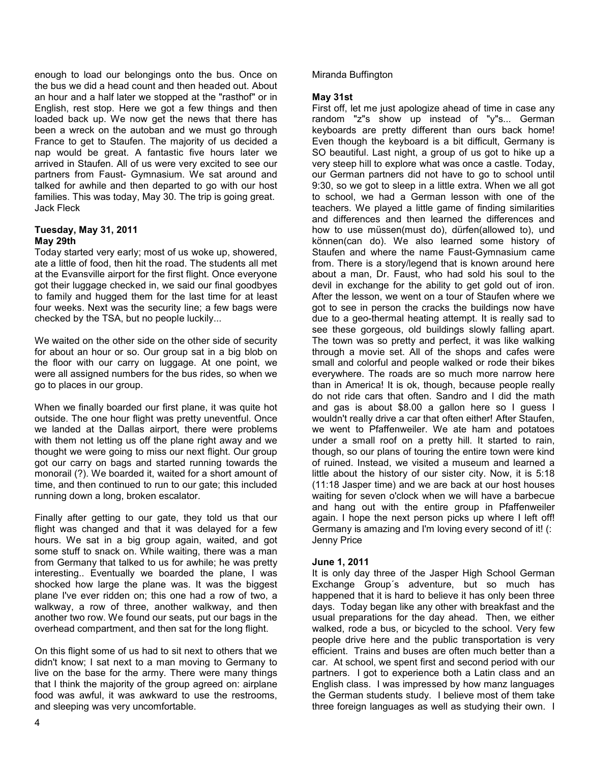enough to load our belongings onto the bus. Once on the bus we did a head count and then headed out. About an hour and a half later we stopped at the "rasthof" or in English, rest stop. Here we got a few things and then loaded back up. We now get the news that there has been a wreck on the autoban and we must go through France to get to Staufen. The majority of us decided a nap would be great. A fantastic five hours later we arrived in Staufen. All of us were very excited to see our partners from Faust- Gymnasium. We sat around and talked for awhile and then departed to go with our host families. This was today, May 30. The trip is going great. Jack Fleck

### **Tuesday, May 31, 2011 May 29th**

Today started very early; most of us woke up, showered, ate a little of food, then hit the road. The students all met at the Evansville airport for the first flight. Once everyone got their luggage checked in, we said our final goodbyes to family and hugged them for the last time for at least four weeks. Next was the security line; a few bags were checked by the TSA, but no people luckily...

We waited on the other side on the other side of security for about an hour or so. Our group sat in a big blob on the floor with our carry on luggage. At one point, we were all assigned numbers for the bus rides, so when we go to places in our group.

When we finally boarded our first plane, it was quite hot outside. The one hour flight was pretty uneventful. Once we landed at the Dallas airport, there were problems with them not letting us off the plane right away and we thought we were going to miss our next flight. Our group got our carry on bags and started running towards the monorail (?). We boarded it, waited for a short amount of time, and then continued to run to our gate; this included running down a long, broken escalator.

Finally after getting to our gate, they told us that our flight was changed and that it was delayed for a few hours. We sat in a big group again, waited, and got some stuff to snack on. While waiting, there was a man from Germany that talked to us for awhile; he was pretty interesting.. Eventually we boarded the plane, I was shocked how large the plane was. It was the biggest plane I've ever ridden on; this one had a row of two, a walkway, a row of three, another walkway, and then another two row. We found our seats, put our bags in the overhead compartment, and then sat for the long flight.

On this flight some of us had to sit next to others that we didn't know; I sat next to a man moving to Germany to live on the base for the army. There were many things that I think the majority of the group agreed on: airplane food was awful, it was awkward to use the restrooms, and sleeping was very uncomfortable.

# Miranda Buffington

### **May 31st**

First off, let me just apologize ahead of time in case any random "z"s show up instead of "y"s... German keyboards are pretty different than ours back home! Even though the keyboard is a bit difficult, Germany is SO beautiful. Last night, a group of us got to hike up a very steep hill to explore what was once a castle. Today, our German partners did not have to go to school until 9:30, so we got to sleep in a little extra. When we all got to school, we had a German lesson with one of the teachers. We played a little game of finding similarities and differences and then learned the differences and how to use müssen(must do), dürfen(allowed to), und können(can do). We also learned some history of Staufen and where the name Faust-Gymnasium came from. There is a story/legend that is known around here about a man, Dr. Faust, who had sold his soul to the devil in exchange for the ability to get gold out of iron. After the lesson, we went on a tour of Staufen where we got to see in person the cracks the buildings now have due to a geo-thermal heating attempt. It is really sad to see these gorgeous, old buildings slowly falling apart. The town was so pretty and perfect, it was like walking through a movie set. All of the shops and cafes were small and colorful and people walked or rode their bikes everywhere. The roads are so much more narrow here than in America! It is ok, though, because people really do not ride cars that often. Sandro and I did the math and gas is about \$8.00 a gallon here so I guess I wouldn't really drive a car that often either! After Staufen, we went to Pfaffenweiler. We ate ham and potatoes under a small roof on a pretty hill. It started to rain, though, so our plans of touring the entire town were kind of ruined. Instead, we visited a museum and learned a little about the history of our sister city. Now, it is 5:18 (11:18 Jasper time) and we are back at our host houses waiting for seven o'clock when we will have a barbecue and hang out with the entire group in Pfaffenweiler again. I hope the next person picks up where I left off! Germany is amazing and I'm loving every second of it! (: Jenny Price

#### **June 1, 2011**

It is only day three of the Jasper High School German Exchange Group´s adventure, but so much has happened that it is hard to believe it has only been three days. Today began like any other with breakfast and the usual preparations for the day ahead. Then, we either walked, rode a bus, or bicycled to the school. Very few people drive here and the public transportation is very efficient. Trains and buses are often much better than a car. At school, we spent first and second period with our partners. I got to experience both a Latin class and an English class. I was impressed by how manz languages the German students study. I believe most of them take three foreign languages as well as studying their own. I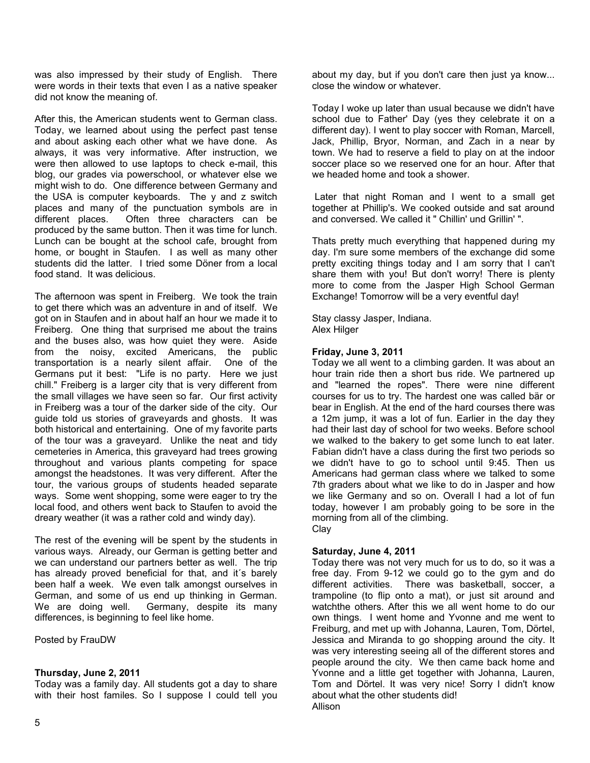was also impressed by their study of English. There were words in their texts that even I as a native speaker did not know the meaning of.

After this, the American students went to German class. Today, we learned about using the perfect past tense and about asking each other what we have done. As always, it was very informative. After instruction, we were then allowed to use laptops to check e-mail, this blog, our grades via powerschool, or whatever else we might wish to do. One difference between Germany and the USA is computer keyboards. The y and z switch places and many of the punctuation symbols are in different places. Often three characters can be produced by the same button. Then it was time for lunch. Lunch can be bought at the school cafe, brought from home, or bought in Staufen. I as well as many other students did the latter. I tried some Döner from a local food stand. It was delicious.

The afternoon was spent in Freiberg. We took the train to get there which was an adventure in and of itself. We got on in Staufen and in about half an hour we made it to Freiberg. One thing that surprised me about the trains and the buses also, was how quiet they were. Aside from the noisy, excited Americans, the public transportation is a nearly silent affair. One of the Germans put it best: "Life is no party. Here we just chill." Freiberg is a larger city that is very different from the small villages we have seen so far. Our first activity in Freiberg was a tour of the darker side of the city. Our guide told us stories of graveyards and ghosts. It was both historical and entertaining. One of my favorite parts of the tour was a graveyard. Unlike the neat and tidy cemeteries in America, this graveyard had trees growing throughout and various plants competing for space amongst the headstones. It was very different. After the tour, the various groups of students headed separate ways. Some went shopping, some were eager to try the local food, and others went back to Staufen to avoid the dreary weather (it was a rather cold and windy day).

The rest of the evening will be spent by the students in various ways. Already, our German is getting better and we can understand our partners better as well. The trip has already proved beneficial for that, and it´s barely been half a week. We even talk amongst ourselves in German, and some of us end up thinking in German. We are doing well. Germany, despite its many differences, is beginning to feel like home.

Posted by FrauDW

## **Thursday, June 2, 2011**

Today was a family day. All students got a day to share with their host familes. So I suppose I could tell you

about my day, but if you don't care then just ya know... close the window or whatever.

Today I woke up later than usual because we didn't have school due to Father' Day (yes they celebrate it on a different day). I went to play soccer with Roman, Marcell, Jack, Phillip, Bryor, Norman, and Zach in a near by town. We had to reserve a field to play on at the indoor soccer place so we reserved one for an hour. After that we headed home and took a shower.

 Later that night Roman and I went to a small get together at Phillip's. We cooked outside and sat around and conversed. We called it " Chillin' und Grillin' ".

Thats pretty much everything that happened during my day. I'm sure some members of the exchange did some pretty exciting things today and I am sorry that I can't share them with you! But don't worry! There is plenty more to come from the Jasper High School German Exchange! Tomorrow will be a very eventful day!

Stay classy Jasper, Indiana. Alex Hilger

## **Friday, June 3, 2011**

Today we all went to a climbing garden. It was about an hour train ride then a short bus ride. We partnered up and "learned the ropes". There were nine different courses for us to try. The hardest one was called bär or bear in English. At the end of the hard courses there was a 12m jump, it was a lot of fun. Earlier in the day they had their last day of school for two weeks. Before school we walked to the bakery to get some lunch to eat later. Fabian didn't have a class during the first two periods so we didn't have to go to school until 9:45. Then us Americans had german class where we talked to some 7th graders about what we like to do in Jasper and how we like Germany and so on. Overall I had a lot of fun today, however I am probably going to be sore in the morning from all of the climbing. Clay

## **Saturday, June 4, 2011**

Today there was not very much for us to do, so it was a free day. From 9-12 we could go to the gym and do different activities. There was basketball, soccer, a trampoline (to flip onto a mat), or just sit around and watchthe others. After this we all went home to do our own things. I went home and Yvonne and me went to Freiburg, and met up with Johanna, Lauren, Tom, Dörtel, Jessica and Miranda to go shopping around the city. It was very interesting seeing all of the different stores and people around the city. We then came back home and Yvonne and a little get together with Johanna, Lauren, Tom and Dörtel. It was very nice! Sorry I didn't know about what the other students did! Allison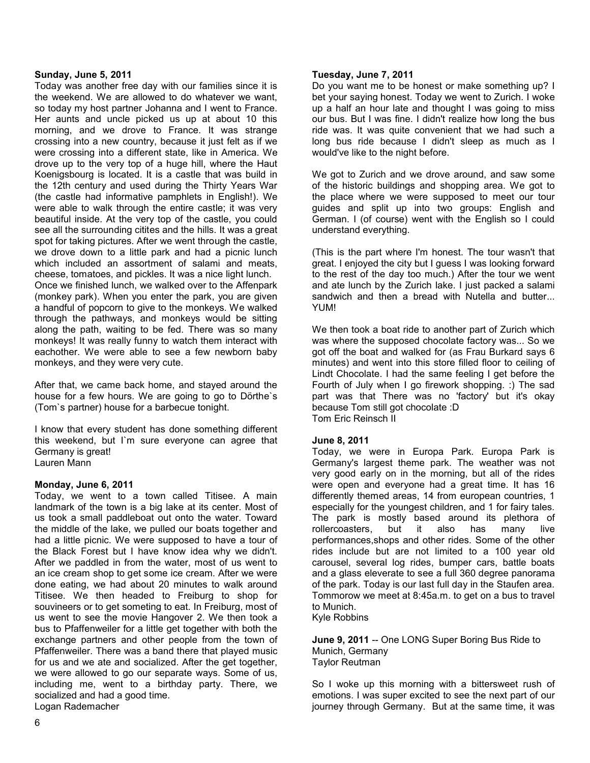#### **Sunday, June 5, 2011**

Today was another free day with our families since it is the weekend. We are allowed to do whatever we want, so today my host partner Johanna and I went to France. Her aunts and uncle picked us up at about 10 this morning, and we drove to France. It was strange crossing into a new country, because it just felt as if we were crossing into a different state, like in America. We drove up to the very top of a huge hill, where the Haut Koenigsbourg is located. It is a castle that was build in the 12th century and used during the Thirty Years War (the castle had informative pamphlets in English!). We were able to walk through the entire castle; it was very beautiful inside. At the very top of the castle, you could see all the surrounding citites and the hills. It was a great spot for taking pictures. After we went through the castle, we drove down to a little park and had a picnic lunch which included an assortment of salami and meats, cheese, tomatoes, and pickles. It was a nice light lunch. Once we finished lunch, we walked over to the Affenpark (monkey park). When you enter the park, you are given

a handful of popcorn to give to the monkeys. We walked through the pathways, and monkeys would be sitting along the path, waiting to be fed. There was so many monkeys! It was really funny to watch them interact with eachother. We were able to see a few newborn baby monkeys, and they were very cute.

After that, we came back home, and stayed around the house for a few hours. We are going to go to Dörthe`s (Tom`s partner) house for a barbecue tonight.

I know that every student has done something different this weekend, but I`m sure everyone can agree that Germany is great! Lauren Mann

#### **Monday, June 6, 2011**

Today, we went to a town called Titisee. A main landmark of the town is a big lake at its center. Most of us took a small paddleboat out onto the water. Toward the middle of the lake, we pulled our boats together and had a little picnic. We were supposed to have a tour of the Black Forest but I have know idea why we didn't. After we paddled in from the water, most of us went to an ice cream shop to get some ice cream. After we were done eating, we had about 20 minutes to walk around Titisee. We then headed to Freiburg to shop for souvineers or to get someting to eat. In Freiburg, most of us went to see the movie Hangover 2. We then took a bus to Pfaffenweiler for a little get together with both the exchange partners and other people from the town of Pfaffenweiler. There was a band there that played music for us and we ate and socialized. After the get together, we were allowed to go our separate ways. Some of us, including me, went to a birthday party. There, we socialized and had a good time. Logan Rademacher

#### **Tuesday, June 7, 2011**

Do you want me to be honest or make something up? I bet your saying honest. Today we went to Zurich. I woke up a half an hour late and thought I was going to miss our bus. But I was fine. I didn't realize how long the bus ride was. It was quite convenient that we had such a long bus ride because I didn't sleep as much as I would've like to the night before.

We got to Zurich and we drove around, and saw some of the historic buildings and shopping area. We got to the place where we were supposed to meet our tour guides and split up into two groups: English and German. I (of course) went with the English so I could understand everything.

(This is the part where I'm honest. The tour wasn't that great. I enjoyed the city but I guess I was looking forward to the rest of the day too much.) After the tour we went and ate lunch by the Zurich lake. I just packed a salami sandwich and then a bread with Nutella and butter... YUM!

We then took a boat ride to another part of Zurich which was where the supposed chocolate factory was... So we got off the boat and walked for (as Frau Burkard says 6 minutes) and went into this store filled floor to ceiling of Lindt Chocolate. I had the same feeling I get before the Fourth of July when I go firework shopping. :) The sad part was that There was no 'factory' but it's okay because Tom still got chocolate :D Tom Eric Reinsch II

## **June 8, 2011**

Today, we were in Europa Park. Europa Park is Germany's largest theme park. The weather was not very good early on in the morning, but all of the rides were open and everyone had a great time. It has 16 differently themed areas, 14 from european countries, 1 especially for the youngest children, and 1 for fairy tales. The park is mostly based around its plethora of rollercoasters, but it also has many live performances,shops and other rides. Some of the other rides include but are not limited to a 100 year old carousel, several log rides, bumper cars, battle boats and a glass eleverate to see a full 360 degree panorama of the park. Today is our last full day in the Staufen area. Tommorow we meet at 8:45a.m. to get on a bus to travel to Munich.

Kyle Robbins

**June 9, 2011** -- One LONG Super Boring Bus Ride to Munich, Germany Taylor Reutman

So I woke up this morning with a bittersweet rush of emotions. I was super excited to see the next part of our journey through Germany. But at the same time, it was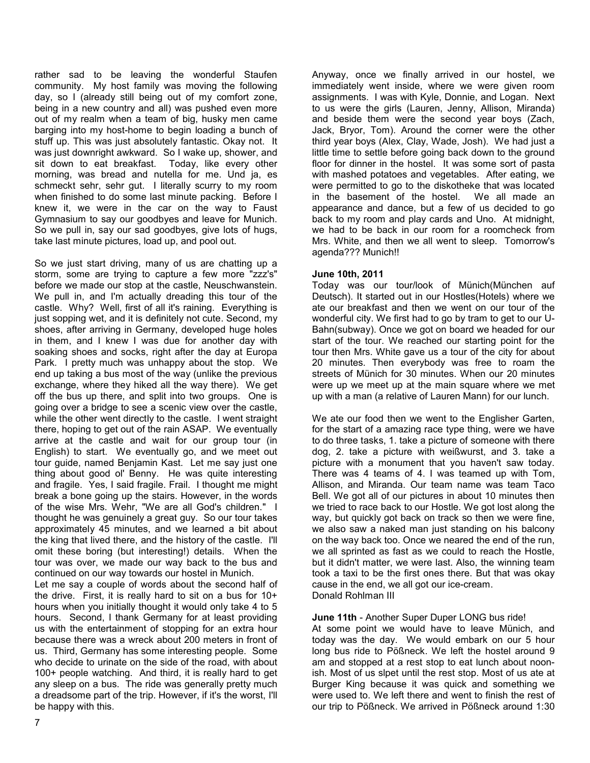rather sad to be leaving the wonderful Staufen community. My host family was moving the following day, so I (already still being out of my comfort zone, being in a new country and all) was pushed even more out of my realm when a team of big, husky men came barging into my host-home to begin loading a bunch of stuff up. This was just absolutely fantastic. Okay not. It was just downright awkward. So I wake up, shower, and sit down to eat breakfast. Today, like every other morning, was bread and nutella for me. Und ja, es schmeckt sehr, sehr gut. I literally scurry to my room when finished to do some last minute packing. Before I knew it, we were in the car on the way to Faust Gymnasium to say our goodbyes and leave for Munich. So we pull in, say our sad goodbyes, give lots of hugs, take last minute pictures, load up, and pool out.

So we just start driving, many of us are chatting up a storm, some are trying to capture a few more "zzz's" before we made our stop at the castle, Neuschwanstein. We pull in, and I'm actually dreading this tour of the castle. Why? Well, first of all it's raining. Everything is just sopping wet, and it is definitely not cute. Second, my shoes, after arriving in Germany, developed huge holes in them, and I knew I was due for another day with soaking shoes and socks, right after the day at Europa Park. I pretty much was unhappy about the stop. We end up taking a bus most of the way (unlike the previous exchange, where they hiked all the way there). We get off the bus up there, and split into two groups. One is going over a bridge to see a scenic view over the castle, while the other went directly to the castle. I went straight there, hoping to get out of the rain ASAP. We eventually arrive at the castle and wait for our group tour (in English) to start. We eventually go, and we meet out tour guide, named Benjamin Kast. Let me say just one thing about good ol' Benny. He was quite interesting and fragile. Yes, I said fragile. Frail. I thought me might break a bone going up the stairs. However, in the words of the wise Mrs. Wehr, "We are all God's children." I thought he was genuinely a great guy. So our tour takes approximately 45 minutes, and we learned a bit about the king that lived there, and the history of the castle. I'll omit these boring (but interesting!) details. When the tour was over, we made our way back to the bus and continued on our way towards our hostel in Munich.

Let me say a couple of words about the second half of the drive. First, it is really hard to sit on a bus for 10+ hours when you initially thought it would only take 4 to 5 hours. Second, I thank Germany for at least providing us with the entertainment of stopping for an extra hour because there was a wreck about 200 meters in front of us. Third, Germany has some interesting people. Some who decide to urinate on the side of the road, with about 100+ people watching. And third, it is really hard to get any sleep on a bus. The ride was generally pretty much a dreadsome part of the trip. However, if it's the worst, I'll be happy with this.

Anyway, once we finally arrived in our hostel, we immediately went inside, where we were given room assignments. I was with Kyle, Donnie, and Logan. Next to us were the girls (Lauren, Jenny, Allison, Miranda) and beside them were the second year boys (Zach, Jack, Bryor, Tom). Around the corner were the other third year boys (Alex, Clay, Wade, Josh). We had just a little time to settle before going back down to the ground floor for dinner in the hostel. It was some sort of pasta with mashed potatoes and vegetables. After eating, we were permitted to go to the diskotheke that was located in the basement of the hostel. We all made an appearance and dance, but a few of us decided to go back to my room and play cards and Uno. At midnight, we had to be back in our room for a roomcheck from Mrs. White, and then we all went to sleep. Tomorrow's agenda??? Munich!!

#### **June 10th, 2011**

Today was our tour/look of Münich(München auf Deutsch). It started out in our Hostles(Hotels) where we ate our breakfast and then we went on our tour of the wonderful city. We first had to go by tram to get to our U-Bahn(subway). Once we got on board we headed for our start of the tour. We reached our starting point for the tour then Mrs. White gave us a tour of the city for about 20 minutes. Then everybody was free to roam the streets of Münich for 30 minutes. When our 20 minutes were up we meet up at the main square where we met up with a man (a relative of Lauren Mann) for our lunch.

We ate our food then we went to the Englisher Garten, for the start of a amazing race type thing, were we have to do three tasks, 1. take a picture of someone with there dog, 2. take a picture with weißwurst, and 3. take a picture with a monument that you haven't saw today. There was 4 teams of 4. I was teamed up with Tom, Allison, and Miranda. Our team name was team Taco Bell. We got all of our pictures in about 10 minutes then we tried to race back to our Hostle. We got lost along the way, but quickly got back on track so then we were fine, we also saw a naked man just standing on his balcony on the way back too. Once we neared the end of the run, we all sprinted as fast as we could to reach the Hostle, but it didn't matter, we were last. Also, the winning team took a taxi to be the first ones there. But that was okay cause in the end, we all got our ice-cream. Donald Rohlman III

#### **June 11th** - Another Super Duper LONG bus ride!

At some point we would have to leave Münich, and today was the day. We would embark on our 5 hour long bus ride to Pößneck. We left the hostel around 9 am and stopped at a rest stop to eat lunch about noonish. Most of us slpet until the rest stop. Most of us ate at Burger King because it was quick and something we were used to. We left there and went to finish the rest of our trip to Pößneck. We arrived in Pößneck around 1:30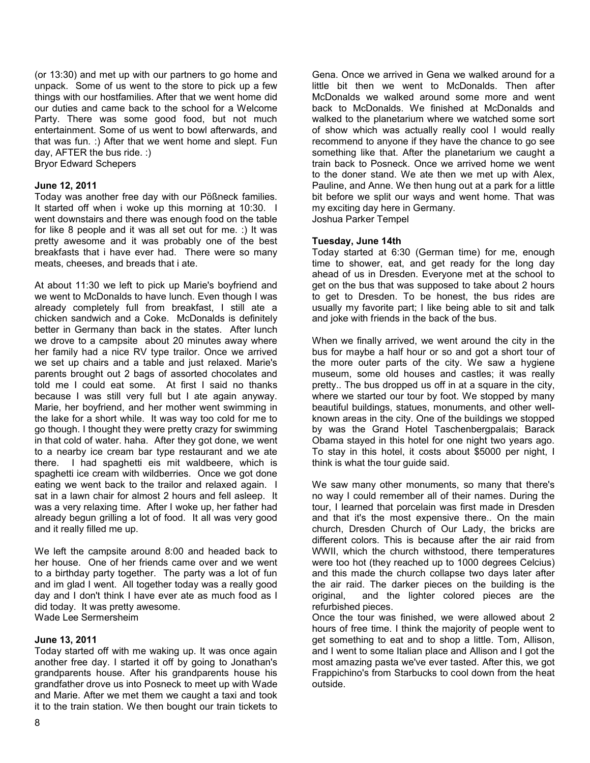(or 13:30) and met up with our partners to go home and unpack. Some of us went to the store to pick up a few things with our hostfamilies. After that we went home did our duties and came back to the school for a Welcome Party. There was some good food, but not much entertainment. Some of us went to bowl afterwards, and that was fun. :) After that we went home and slept. Fun day, AFTER the bus ride. :)

Bryor Edward Schepers

#### **June 12, 2011**

Today was another free day with our Pößneck families. It started off when i woke up this morning at 10:30. I went downstairs and there was enough food on the table for like 8 people and it was all set out for me. :) It was pretty awesome and it was probably one of the best breakfasts that i have ever had. There were so many meats, cheeses, and breads that i ate.

At about 11:30 we left to pick up Marie's boyfriend and we went to McDonalds to have lunch. Even though I was already completely full from breakfast, I still ate a chicken sandwich and a Coke. McDonalds is definitely better in Germany than back in the states. After lunch we drove to a campsite about 20 minutes away where her family had a nice RV type trailor. Once we arrived we set up chairs and a table and just relaxed. Marie's parents brought out 2 bags of assorted chocolates and told me I could eat some. At first I said no thanks because I was still very full but I ate again anyway. Marie, her boyfriend, and her mother went swimming in the lake for a short while. It was way too cold for me to go though. I thought they were pretty crazy for swimming in that cold of water. haha. After they got done, we went to a nearby ice cream bar type restaurant and we ate there. I had spaghetti eis mit waldbeere, which is spaghetti ice cream with wildberries. Once we got done eating we went back to the trailor and relaxed again. I sat in a lawn chair for almost 2 hours and fell asleep. It was a very relaxing time. After I woke up, her father had already begun grilling a lot of food. It all was very good and it really filled me up.

We left the campsite around 8:00 and headed back to her house. One of her friends came over and we went to a birthday party together. The party was a lot of fun and im glad I went. All together today was a really good day and I don't think I have ever ate as much food as I did today. It was pretty awesome. Wade Lee Sermersheim

#### **June 13, 2011**

Today started off with me waking up. It was once again another free day. I started it off by going to Jonathan's grandparents house. After his grandparents house his grandfather drove us into Posneck to meet up with Wade and Marie. After we met them we caught a taxi and took it to the train station. We then bought our train tickets to

Gena. Once we arrived in Gena we walked around for a little bit then we went to McDonalds. Then after McDonalds we walked around some more and went back to McDonalds. We finished at McDonalds and walked to the planetarium where we watched some sort of show which was actually really cool I would really recommend to anyone if they have the chance to go see something like that. After the planetarium we caught a train back to Posneck. Once we arrived home we went to the doner stand. We ate then we met up with Alex, Pauline, and Anne. We then hung out at a park for a little bit before we split our ways and went home. That was my exciting day here in Germany. Joshua Parker Tempel

#### **Tuesday, June 14th**

Today started at 6:30 (German time) for me, enough time to shower, eat, and get ready for the long day ahead of us in Dresden. Everyone met at the school to get on the bus that was supposed to take about 2 hours to get to Dresden. To be honest, the bus rides are usually my favorite part; I like being able to sit and talk and joke with friends in the back of the bus.

When we finally arrived, we went around the city in the bus for maybe a half hour or so and got a short tour of the more outer parts of the city. We saw a hygiene museum, some old houses and castles; it was really pretty.. The bus dropped us off in at a square in the city, where we started our tour by foot. We stopped by many beautiful buildings, statues, monuments, and other wellknown areas in the city. One of the buildings we stopped by was the Grand Hotel Taschenbergpalais; Barack Obama stayed in this hotel for one night two years ago. To stay in this hotel, it costs about \$5000 per night, I think is what the tour guide said.

We saw many other monuments, so many that there's no way I could remember all of their names. During the tour, I learned that porcelain was first made in Dresden and that it's the most expensive there.. On the main church, Dresden Church of Our Lady, the bricks are different colors. This is because after the air raid from WWII, which the church withstood, there temperatures were too hot (they reached up to 1000 degrees Celcius) and this made the church collapse two days later after the air raid. The darker pieces on the building is the original, and the lighter colored pieces are the refurbished pieces.

Once the tour was finished, we were allowed about 2 hours of free time. I think the majority of people went to get something to eat and to shop a little. Tom, Allison, and I went to some Italian place and Allison and I got the most amazing pasta we've ever tasted. After this, we got Frappichino's from Starbucks to cool down from the heat outside.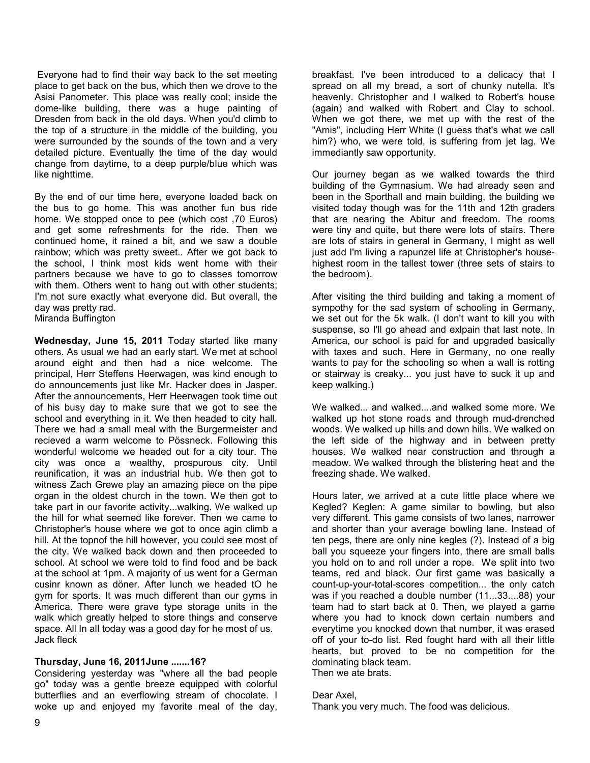Everyone had to find their way back to the set meeting place to get back on the bus, which then we drove to the Asisi Panometer. This place was really cool; inside the dome-like building, there was a huge painting of Dresden from back in the old days. When you'd climb to the top of a structure in the middle of the building, you were surrounded by the sounds of the town and a very detailed picture. Eventually the time of the day would change from daytime, to a deep purple/blue which was like nighttime.

By the end of our time here, everyone loaded back on the bus to go home. This was another fun bus ride home. We stopped once to pee (which cost ,70 Euros) and get some refreshments for the ride. Then we continued home, it rained a bit, and we saw a double rainbow; which was pretty sweet.. After we got back to the school, I think most kids went home with their partners because we have to go to classes tomorrow with them. Others went to hang out with other students; I'm not sure exactly what everyone did. But overall, the day was pretty rad. Miranda Buffington

**Wednesday, June 15, 2011** Today started like many others. As usual we had an early start. We met at school around eight and then had a nice welcome. The principal, Herr Steffens Heerwagen, was kind enough to do announcements just like Mr. Hacker does in Jasper. After the announcements, Herr Heerwagen took time out of his busy day to make sure that we got to see the school and everything in it. We then headed to city hall. There we had a small meal with the Burgermeister and recieved a warm welcome to Pössneck. Following this wonderful welcome we headed out for a city tour. The city was once a wealthy, prospurous city. Until reunification, it was an industrial hub. We then got to witness Zach Grewe play an amazing piece on the pipe organ in the oldest church in the town. We then got to take part in our favorite activity...walking. We walked up the hill for what seemed like forever. Then we came to Christopher's house where we got to once agin climb a hill. At the topnof the hill however, you could see most of the city. We walked back down and then proceeded to school. At school we were told to find food and be back at the school at 1pm. A majority of us went for a German cusinr known as döner. After lunch we headed tO he gym for sports. It was much different than our gyms in America. There were grave type storage units in the walk which greatly helped to store things and conserve space. All In all today was a good day for he most of us. Jack fleck

#### **Thursday, June 16, 2011June .......16?**

Considering yesterday was "where all the bad people go" today was a gentle breeze equipped with colorful butterflies and an everflowing stream of chocolate. I woke up and enjoyed my favorite meal of the day,

breakfast. I've been introduced to a delicacy that I spread on all my bread, a sort of chunky nutella. It's heavenly. Christopher and I walked to Robert's house (again) and walked with Robert and Clay to school. When we got there, we met up with the rest of the "Amis", including Herr White (I guess that's what we call him?) who, we were told, is suffering from jet lag. We immediantly saw opportunity.

Our journey began as we walked towards the third building of the Gymnasium. We had already seen and been in the Sporthall and main building, the building we visited today though was for the 11th and 12th graders that are nearing the Abitur and freedom. The rooms were tiny and quite, but there were lots of stairs. There are lots of stairs in general in Germany, I might as well just add I'm living a rapunzel life at Christopher's househighest room in the tallest tower (three sets of stairs to the bedroom).

After visiting the third building and taking a moment of sympothy for the sad system of schooling in Germany, we set out for the 5k walk. (I don't want to kill you with suspense, so I'll go ahead and exlpain that last note. In America, our school is paid for and upgraded basically with taxes and such. Here in Germany, no one really wants to pay for the schooling so when a wall is rotting or stairway is creaky... you just have to suck it up and keep walking.)

We walked... and walked....and walked some more. We walked up hot stone roads and through mud-drenched woods. We walked up hills and down hills. We walked on the left side of the highway and in between pretty houses. We walked near construction and through a meadow. We walked through the blistering heat and the freezing shade. We walked.

Hours later, we arrived at a cute little place where we Kegled? Keglen: A game similar to bowling, but also very different. This game consists of two lanes, narrower and shorter than your average bowling lane. Instead of ten pegs, there are only nine kegles (?). Instead of a big ball you squeeze your fingers into, there are small balls you hold on to and roll under a rope. We split into two teams, red and black. Our first game was basically a count-up-your-total-scores competition... the only catch was if you reached a double number (11...33....88) your team had to start back at 0. Then, we played a game where you had to knock down certain numbers and everytime you knocked down that number, it was erased off of your to-do list. Red fought hard with all their little hearts, but proved to be no competition for the dominating black team. Then we ate brats.

#### Dear Axel,

Thank you very much. The food was delicious.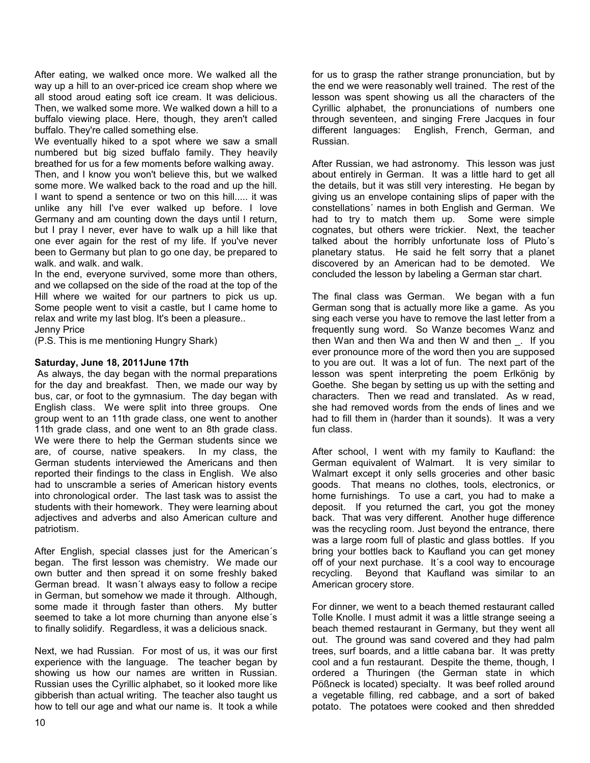After eating, we walked once more. We walked all the way up a hill to an over-priced ice cream shop where we all stood aroud eating soft ice cream. It was delicious. Then, we walked some more. We walked down a hill to a buffalo viewing place. Here, though, they aren't called buffalo. They're called something else.

We eventually hiked to a spot where we saw a small numbered but big sized buffalo family. They heavily breathed for us for a few moments before walking away.

Then, and I know you won't believe this, but we walked some more. We walked back to the road and up the hill. I want to spend a sentence or two on this hill..... it was unlike any hill I've ever walked up before. I love Germany and am counting down the days until I return, but I pray I never, ever have to walk up a hill like that one ever again for the rest of my life. If you've never been to Germany but plan to go one day, be prepared to walk. and walk. and walk.

In the end, everyone survived, some more than others, and we collapsed on the side of the road at the top of the Hill where we waited for our partners to pick us up. Some people went to visit a castle, but I came home to relax and write my last blog. It's been a pleasure.. Jenny Price

(P.S. This is me mentioning Hungry Shark)

#### **Saturday, June 18, 2011June 17th**

 As always, the day began with the normal preparations for the day and breakfast. Then, we made our way by bus, car, or foot to the gymnasium. The day began with English class. We were split into three groups. One group went to an 11th grade class, one went to another 11th grade class, and one went to an 8th grade class. We were there to help the German students since we are, of course, native speakers. In my class, the German students interviewed the Americans and then reported their findings to the class in English. We also had to unscramble a series of American history events into chronological order. The last task was to assist the students with their homework. They were learning about adjectives and adverbs and also American culture and patriotism.

After English, special classes just for the American´s began. The first lesson was chemistry. We made our own butter and then spread it on some freshly baked German bread. It wasn´t always easy to follow a recipe in German, but somehow we made it through. Although, some made it through faster than others. My butter seemed to take a lot more churning than anyone else´s to finally solidify. Regardless, it was a delicious snack.

Next, we had Russian. For most of us, it was our first experience with the language. The teacher began by showing us how our names are written in Russian. Russian uses the Cyrillic alphabet, so it looked more like gibberish than actual writing. The teacher also taught us how to tell our age and what our name is. It took a while

for us to grasp the rather strange pronunciation, but by the end we were reasonably well trained. The rest of the lesson was spent showing us all the characters of the Cyrillic alphabet, the pronunciations of numbers one through seventeen, and singing Frere Jacques in four different languages: English, French, German, and Russian.

After Russian, we had astronomy. This lesson was just about entirely in German. It was a little hard to get all the details, but it was still very interesting. He began by giving us an envelope containing slips of paper with the constellations´ names in both English and German. We had to try to match them up. Some were simple cognates, but others were trickier. Next, the teacher talked about the horribly unfortunate loss of Pluto´s planetary status. He said he felt sorry that a planet discovered by an American had to be demoted. We concluded the lesson by labeling a German star chart.

The final class was German. We began with a fun German song that is actually more like a game. As you sing each verse you have to remove the last letter from a frequently sung word. So Wanze becomes Wanz and then Wan and then Wa and then W and then \_. If you ever pronounce more of the word then you are supposed to you are out. It was a lot of fun. The next part of the lesson was spent interpreting the poem Erlkönig by Goethe. She began by setting us up with the setting and characters. Then we read and translated. As w read, she had removed words from the ends of lines and we had to fill them in (harder than it sounds). It was a very fun class.

After school, I went with my family to Kaufland: the German equivalent of Walmart. It is very similar to Walmart except it only sells groceries and other basic goods. That means no clothes, tools, electronics, or home furnishings. To use a cart, you had to make a deposit. If you returned the cart, you got the money back. That was very different. Another huge difference was the recycling room. Just beyond the entrance, there was a large room full of plastic and glass bottles. If you bring your bottles back to Kaufland you can get money off of your next purchase. It´s a cool way to encourage recycling. Beyond that Kaufland was similar to an American grocery store.

For dinner, we went to a beach themed restaurant called Tolle Knolle. I must admit it was a little strange seeing a beach themed restaurant in Germany, but they went all out. The ground was sand covered and they had palm trees, surf boards, and a little cabana bar. It was pretty cool and a fun restaurant. Despite the theme, though, I ordered a Thuringen (the German state in which Pößneck is located) specialty. It was beef rolled around a vegetable filling, red cabbage, and a sort of baked potato. The potatoes were cooked and then shredded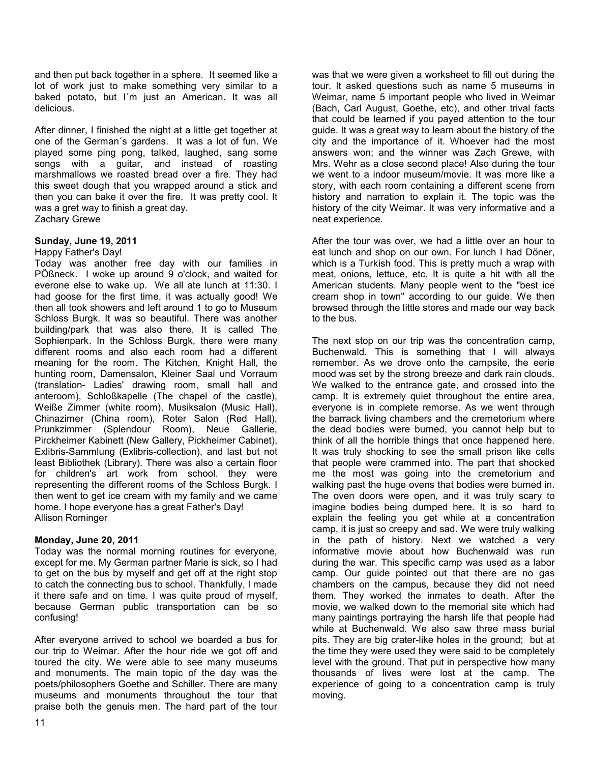and then put back together in a sphere. It seemed like a lot of work just to make something very similar to a baked potato, but I´m just an American. It was all delicious.

After dinner, I finished the night at a little get together at one of the German´s gardens. It was a lot of fun. We played some ping pong, talked, laughed, sang some songs with a guitar, and instead of roasting marshmallows we roasted bread over a fire. They had this sweet dough that you wrapped around a stick and then you can bake it over the fire. It was pretty cool. It was a gret way to finish a great day. Zachary Grewe

#### **Sunday, June 19, 2011**

#### Happy Father's Day!

Today was another free day with our families in PÖßneck. I woke up around 9 o'clock, and waited for everone else to wake up. We all ate lunch at 11:30. I had goose for the first time, it was actually good! We then all took showers and left around 1 to go to Museum Schloss Burgk. It was so beautiful. There was another building/park that was also there. It is called The Sophienpark. In the Schloss Burgk, there were many different rooms and also each room had a different meaning for the room. The Kitchen, Knight Hall, the hunting room, Damensalon, Kleiner Saal und Vorraum (translation- Ladies' drawing room, small hall and anteroom), Schloßkapelle (The chapel of the castle), Weiße Zimmer (white room), Musiksalon (Music Hall), Chinazimer (China room), Roter Salon (Red Hall), Prunkzimmer (Splendour Room), Neue Gallerie, Pirckheimer Kabinett (New Gallery, Pickheimer Cabinet), Exlibris-Sammlung (Exlibris-collection), and last but not least Bibliothek (Library). There was also a certain floor for children's art work from school. they were representing the different rooms of the Schloss Burgk. I then went to get ice cream with my family and we came home. I hope everyone has a great Father's Day! Allison Rominger

#### **Monday, June 20, 2011**

Today was the normal morning routines for everyone, except for me. My German partner Marie is sick, so I had to get on the bus by myself and get off at the right stop to catch the connecting bus to school. Thankfully, I made it there safe and on time. I was quite proud of myself, because German public transportation can be so confusing!

After everyone arrived to school we boarded a bus for our trip to Weimar. After the hour ride we got off and toured the city. We were able to see many museums and monuments. The main topic of the day was the poets/philosophers Goethe and Schiller. There are many museums and monuments throughout the tour that praise both the genuis men. The hard part of the tour

was that we were given a worksheet to fill out during the tour. It asked questions such as name 5 museums in Weimar, name 5 important people who lived in Weimar (Bach, Carl August, Goethe, etc), and other trival facts that could be learned if you payed attention to the tour guide. It was a great way to learn about the history of the city and the importance of it. Whoever had the most answers won; and the winner was Zach Grewe, with Mrs. Wehr as a close second place! Also during the tour we went to a indoor museum/movie. It was more like a story, with each room containing a different scene from history and narration to explain it. The topic was the history of the city Weimar. It was very informative and a neat experience.

After the tour was over, we had a little over an hour to eat lunch and shop on our own. For lunch I had Döner, which is a Turkish food. This is pretty much a wrap with meat, onions, lettuce, etc. It is quite a hit with all the American students. Many people went to the "best ice cream shop in town" according to our guide. We then browsed through the little stores and made our way back to the bus.

The next stop on our trip was the concentration camp, Buchenwald. This is something that I will always remember. As we drove onto the campsite, the eerie mood was set by the strong breeze and dark rain clouds. We walked to the entrance gate, and crossed into the camp. It is extremely quiet throughout the entire area, everyone is in complete remorse. As we went through the barrack living chambers and the cremetorium where the dead bodies were burned, you cannot help but to think of all the horrible things that once happened here. It was truly shocking to see the small prison like cells that people were crammed into. The part that shocked me the most was going into the cremetorium and walking past the huge ovens that bodies were burned in. The oven doors were open, and it was truly scary to imagine bodies being dumped here. It is so hard to explain the feeling you get while at a concentration camp, it is just so creepy and sad. We were truly walking in the path of history. Next we watched a very informative movie about how Buchenwald was run during the war. This specific camp was used as a labor camp. Our guide pointed out that there are no gas chambers on the campus, because they did not need them. They worked the inmates to death. After the movie, we walked down to the memorial site which had many paintings portraying the harsh life that people had while at Buchenwald. We also saw three mass burial pits. They are big crater-like holes in the ground; but at the time they were used they were said to be completely level with the ground. That put in perspective how many thousands of lives were lost at the camp. The experience of going to a concentration camp is truly moving.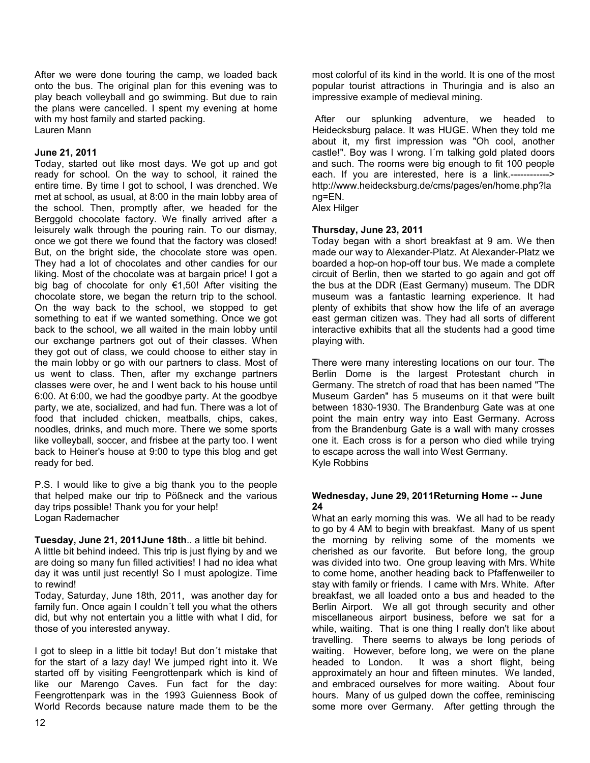After we were done touring the camp, we loaded back onto the bus. The original plan for this evening was to play beach volleyball and go swimming. But due to rain the plans were cancelled. I spent my evening at home with my host family and started packing. Lauren Mann

#### **June 21, 2011**

Today, started out like most days. We got up and got ready for school. On the way to school, it rained the entire time. By time I got to school, I was drenched. We met at school, as usual, at 8:00 in the main lobby area of the school. Then, promptly after, we headed for the Berggold chocolate factory. We finally arrived after a leisurely walk through the pouring rain. To our dismay, once we got there we found that the factory was closed! But, on the bright side, the chocolate store was open. They had a lot of chocolates and other candies for our liking. Most of the chocolate was at bargain price! I got a big bag of chocolate for only €1,50! After visiting the chocolate store, we began the return trip to the school. On the way back to the school, we stopped to get something to eat if we wanted something. Once we got back to the school, we all waited in the main lobby until our exchange partners got out of their classes. When they got out of class, we could choose to either stay in the main lobby or go with our partners to class. Most of us went to class. Then, after my exchange partners classes were over, he and I went back to his house until 6:00. At 6:00, we had the goodbye party. At the goodbye party, we ate, socialized, and had fun. There was a lot of food that included chicken, meatballs, chips, cakes, noodles, drinks, and much more. There we some sports like volleyball, soccer, and frisbee at the party too. I went back to Heiner's house at 9:00 to type this blog and get ready for bed.

P.S. I would like to give a big thank you to the people that helped make our trip to Pößneck and the various day trips possible! Thank you for your help! Logan Rademacher

**Tuesday, June 21, 2011June 18th**.. a little bit behind.

A little bit behind indeed. This trip is just flying by and we are doing so many fun filled activities! I had no idea what day it was until just recently! So I must apologize. Time to rewind!

Today, Saturday, June 18th, 2011, was another day for family fun. Once again I couldn´t tell you what the others did, but why not entertain you a little with what I did, for those of you interested anyway.

I got to sleep in a little bit today! But don´t mistake that for the start of a lazy day! We jumped right into it. We started off by visiting Feengrottenpark which is kind of like our Marengo Caves. Fun fact for the day: Feengrottenpark was in the 1993 Guienness Book of World Records because nature made them to be the

most colorful of its kind in the world. It is one of the most popular tourist attractions in Thuringia and is also an impressive example of medieval mining.

 After our splunking adventure, we headed to Heidecksburg palace. It was HUGE. When they told me about it, my first impression was "Oh cool, another castle!". Boy was I wrong. I´m talking gold plated doors and such. The rooms were big enough to fit 100 people each. If you are interested, here is a link.------------> http://www.heidecksburg.de/cms/pages/en/home.php?la ng=EN.

Alex Hilger

#### **Thursday, June 23, 2011**

Today began with a short breakfast at 9 am. We then made our way to Alexander-Platz. At Alexander-Platz we boarded a hop-on hop-off tour bus. We made a complete circuit of Berlin, then we started to go again and got off the bus at the DDR (East Germany) museum. The DDR museum was a fantastic learning experience. It had plenty of exhibits that show how the life of an average east german citizen was. They had all sorts of different interactive exhibits that all the students had a good time playing with.

There were many interesting locations on our tour. The Berlin Dome is the largest Protestant church in Germany. The stretch of road that has been named "The Museum Garden" has 5 museums on it that were built between 1830-1930. The Brandenburg Gate was at one point the main entry way into East Germany. Across from the Brandenburg Gate is a wall with many crosses one it. Each cross is for a person who died while trying to escape across the wall into West Germany. Kyle Robbins

#### **Wednesday, June 29, 2011Returning Home -- June 24**

What an early morning this was. We all had to be ready to go by 4 AM to begin with breakfast. Many of us spent the morning by reliving some of the moments we cherished as our favorite. But before long, the group was divided into two. One group leaving with Mrs. White to come home, another heading back to Pfaffenweiler to stay with family or friends. I came with Mrs. White. After breakfast, we all loaded onto a bus and headed to the Berlin Airport. We all got through security and other miscellaneous airport business, before we sat for a while, waiting. That is one thing I really don't like about travelling. There seems to always be long periods of waiting. However, before long, we were on the plane headed to London. It was a short flight, being approximately an hour and fifteen minutes. We landed, and embraced ourselves for more waiting. About four hours. Many of us gulped down the coffee, reminiscing some more over Germany. After getting through the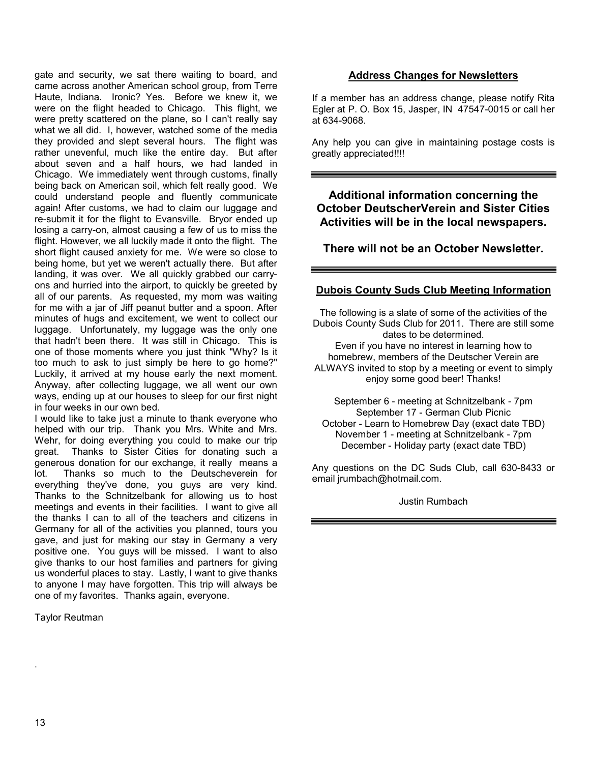gate and security, we sat there waiting to board, and came across another American school group, from Terre Haute, Indiana. Ironic? Yes. Before we knew it, we were on the flight headed to Chicago. This flight, we were pretty scattered on the plane, so I can't really say what we all did. I, however, watched some of the media they provided and slept several hours. The flight was rather unevenful, much like the entire day. But after about seven and a half hours, we had landed in Chicago. We immediately went through customs, finally being back on American soil, which felt really good. We could understand people and fluently communicate again! After customs, we had to claim our luggage and re-submit it for the flight to Evansville. Bryor ended up losing a carry-on, almost causing a few of us to miss the flight. However, we all luckily made it onto the flight. The short flight caused anxiety for me. We were so close to being home, but yet we weren't actually there. But after landing, it was over. We all quickly grabbed our carryons and hurried into the airport, to quickly be greeted by all of our parents. As requested, my mom was waiting for me with a jar of Jiff peanut butter and a spoon. After minutes of hugs and excitement, we went to collect our luggage. Unfortunately, my luggage was the only one that hadn't been there. It was still in Chicago. This is one of those moments where you just think "Why? Is it too much to ask to just simply be here to go home?" Luckily, it arrived at my house early the next moment. Anyway, after collecting luggage, we all went our own ways, ending up at our houses to sleep for our first night in four weeks in our own bed.

I would like to take just a minute to thank everyone who helped with our trip. Thank you Mrs. White and Mrs. Wehr, for doing everything you could to make our trip great. Thanks to Sister Cities for donating such a generous donation for our exchange, it really means a lot. Thanks so much to the Deutscheverein for everything they've done, you guys are very kind. Thanks to the Schnitzelbank for allowing us to host meetings and events in their facilities. I want to give all the thanks I can to all of the teachers and citizens in Germany for all of the activities you planned, tours you gave, and just for making our stay in Germany a very positive one. You guys will be missed. I want to also give thanks to our host families and partners for giving us wonderful places to stay. Lastly, I want to give thanks to anyone I may have forgotten. This trip will always be one of my favorites. Thanks again, everyone.

Taylor Reutman

# **Address Changes for Newsletters**

If a member has an address change, please notify Rita Egler at P. O. Box 15, Jasper, IN 47547-0015 or call her at 634-9068.

Any help you can give in maintaining postage costs is greatly appreciated!!!!

**Additional information concerning the October DeutscherVerein and Sister Cities Activities will be in the local newspapers.**

**There will not be an October Newsletter.**

# **Dubois County Suds Club Meeting Information**

The following is a slate of some of the activities of the Dubois County Suds Club for 2011. There are still some dates to be determined. Even if you have no interest in learning how to homebrew, members of the Deutscher Verein are ALWAYS invited to stop by a meeting or event to simply enjoy some good beer! Thanks!

September 6 - meeting at Schnitzelbank - 7pm September 17 - German Club Picnic October - Learn to Homebrew Day (exact date TBD) November 1 - meeting at Schnitzelbank - 7pm December - Holiday party (exact date TBD)

Any questions on the DC Suds Club, call 630-8433 or email jrumbach@hotmail.com.

Justin Rumbach

.